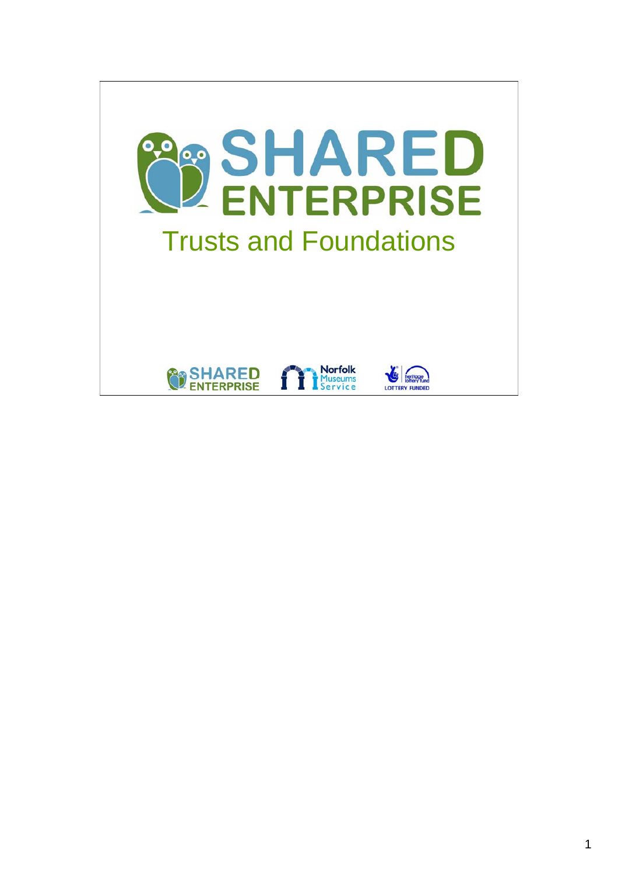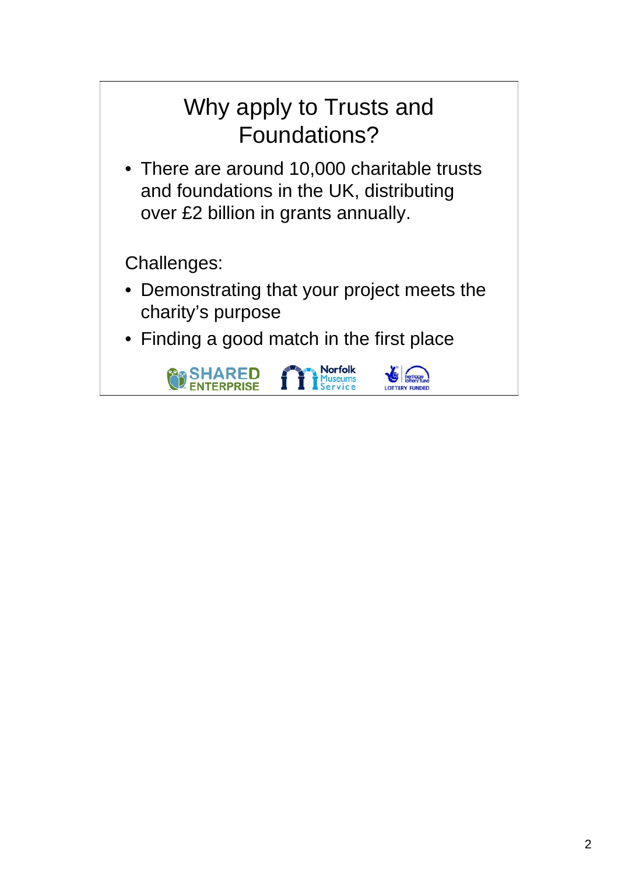## Why apply to Trusts and Foundations?

• There are around 10,000 charitable trusts and foundations in the UK, distributing over £2 billion in grants annually.

Challenges:

- Demonstrating that your project meets the charity's purpose
- Finding a good match in the first place

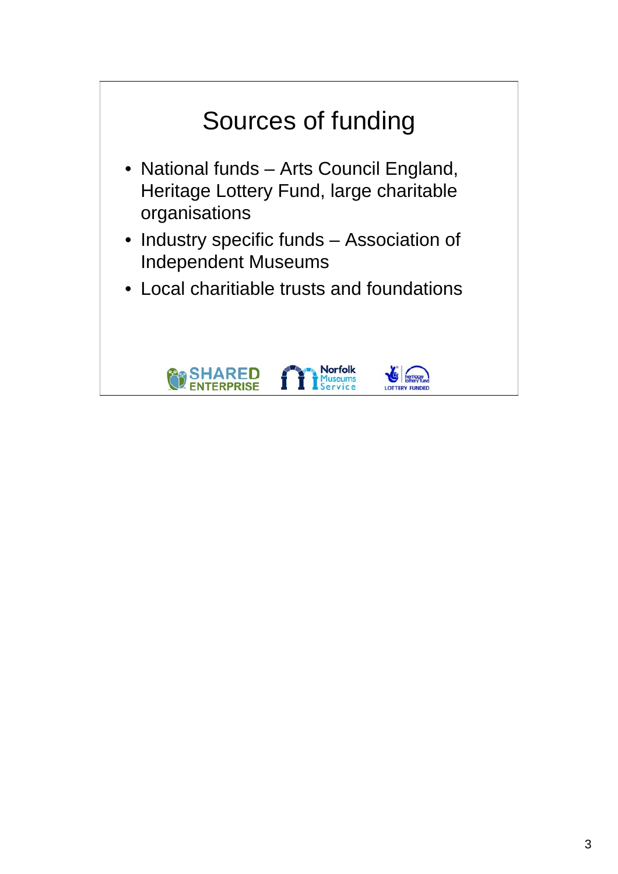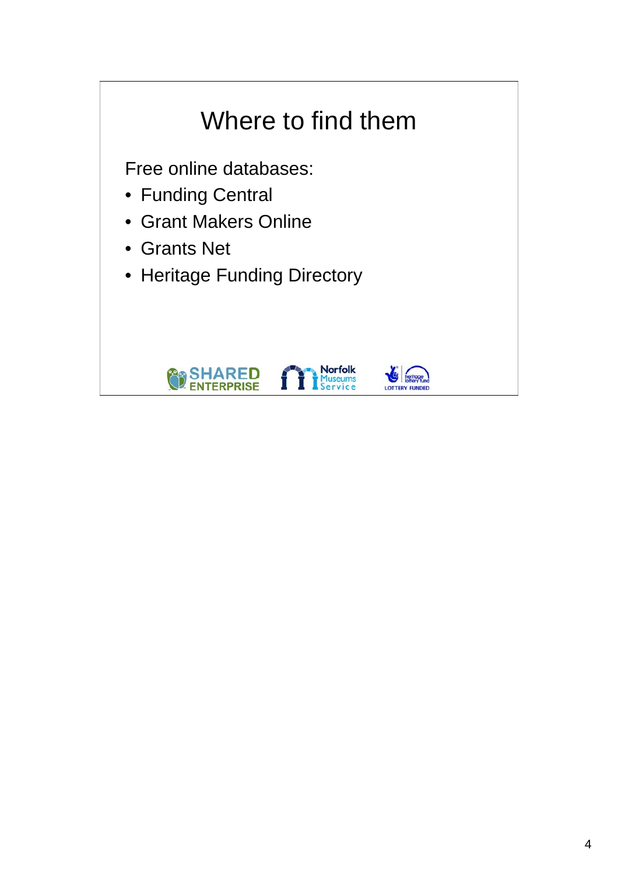## Where to find them

Free online databases:

- Funding Central
- Grant Makers Online
- Grants Net
- Heritage Funding Directory





**Norfolk**<br>Museums<br>Service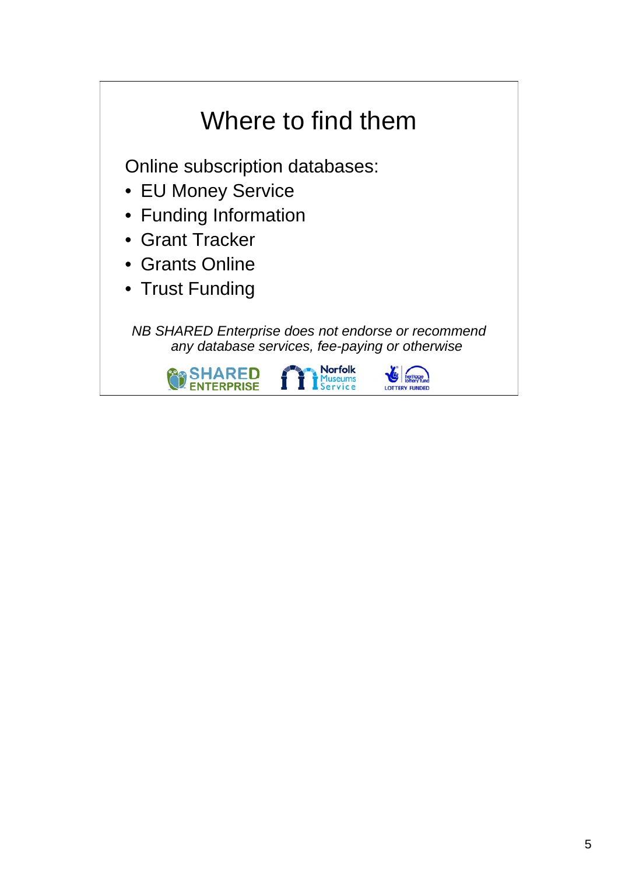## Where to find them

Online subscription databases:

- EU Money Service
- Funding Information
- Grant Tracker
- Grants Online
- Trust Funding

*NB SHARED Enterprise does not endorse or recommend any database services, fee-paying or otherwise*

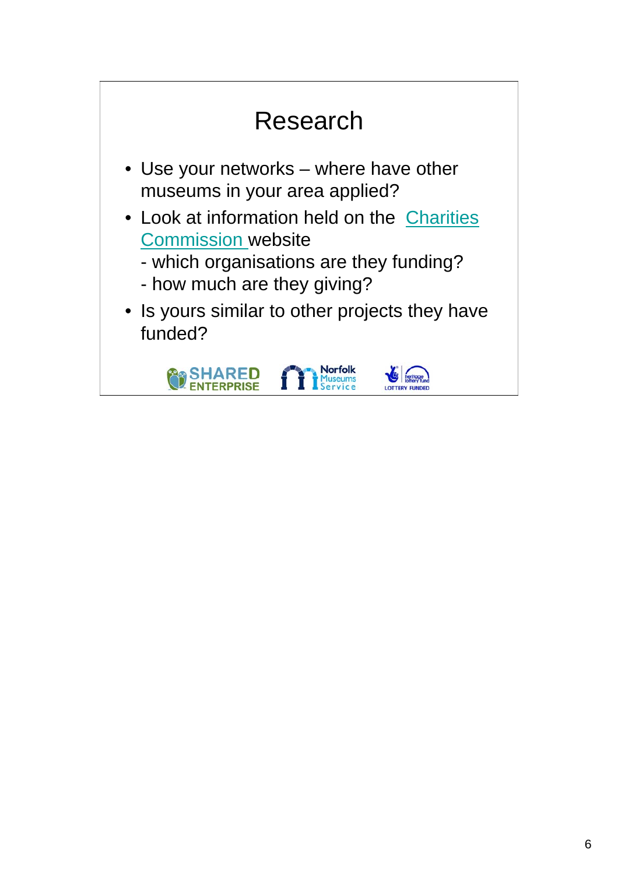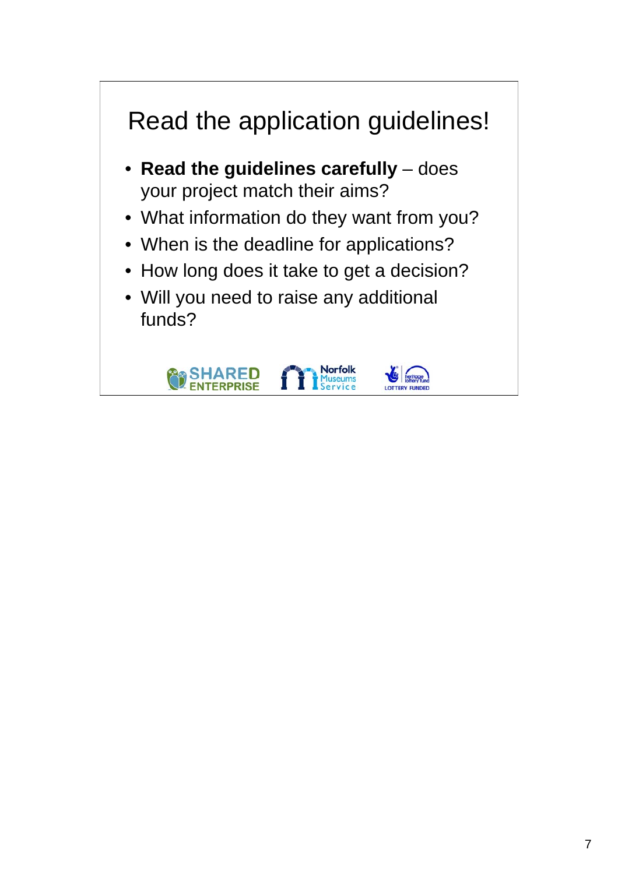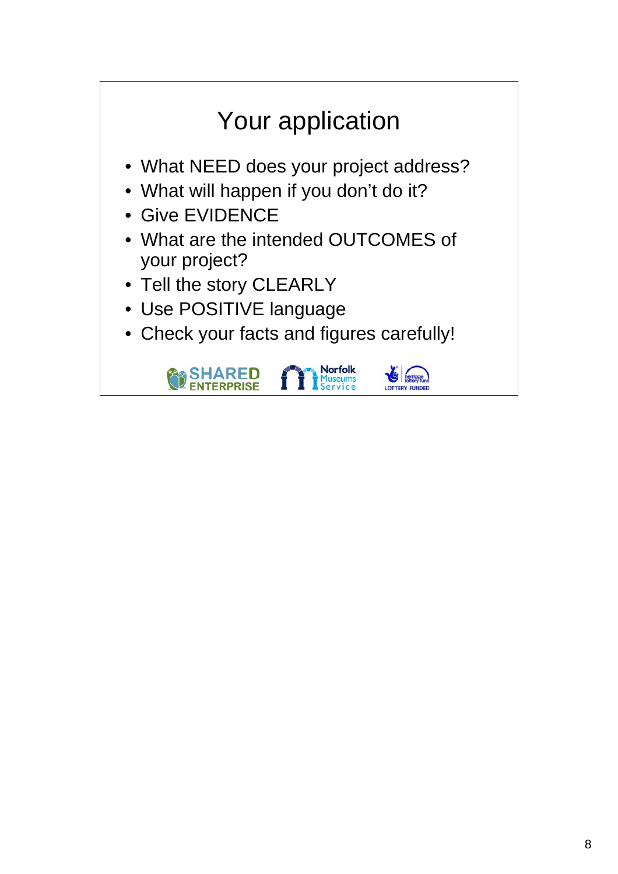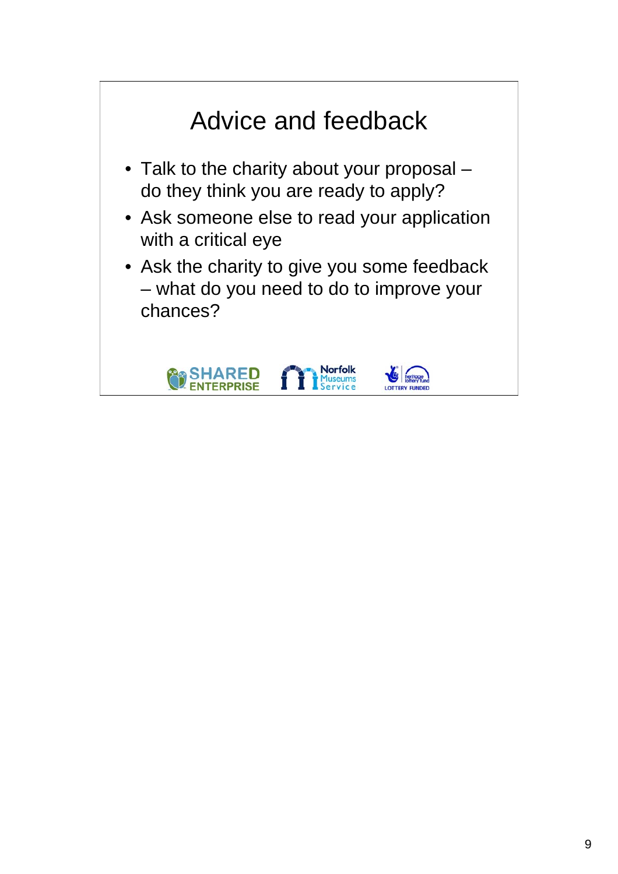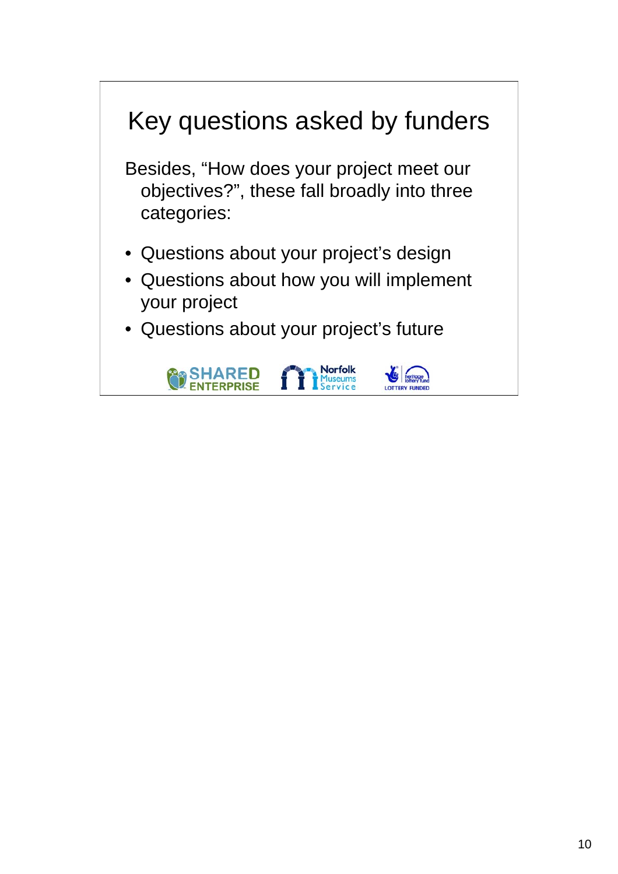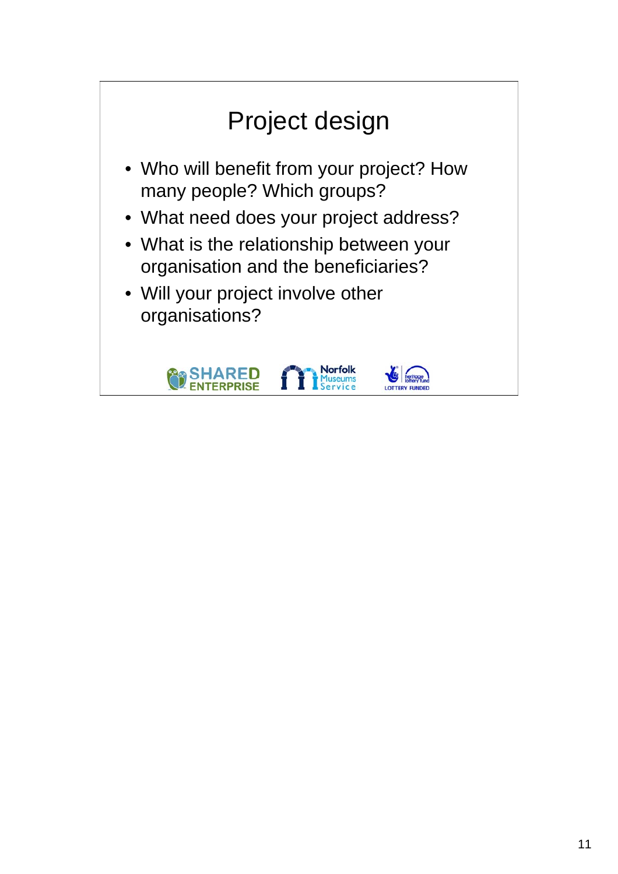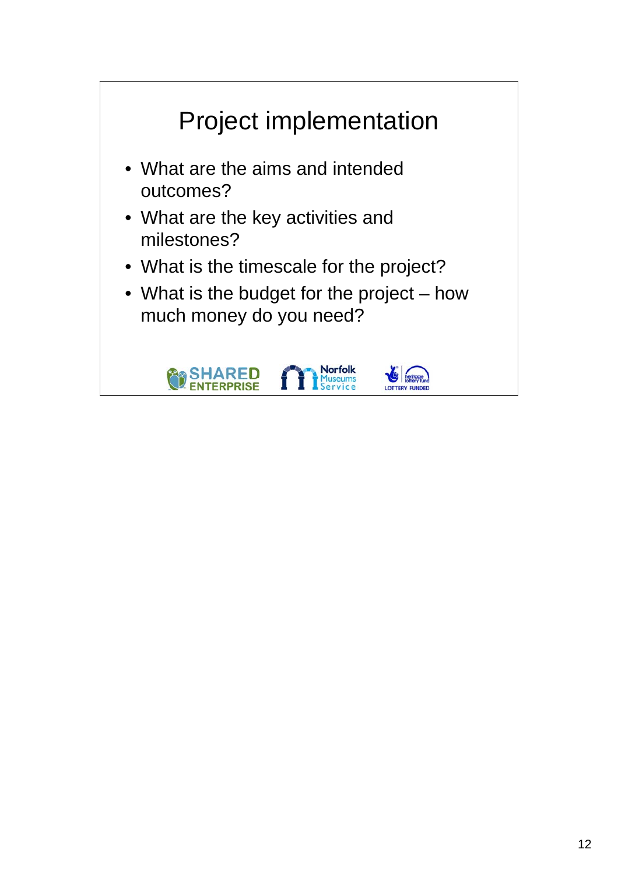